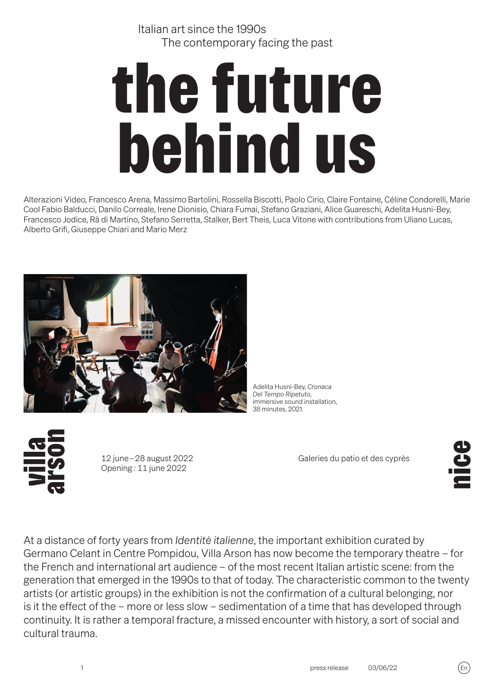Italian art since the 1990s The contemporary facing the past

# the future behind us

Alterazioni Video, Francesco Arena, Massimo Bartolini, Rossella Biscotti, Paolo Cirio, Claire Fontaine, Céline Condorelli, Marie Cool Fabio Balducci, Danilo Correale, Irene Dionisio, Chiara Fumai, Stefano Graziani, Alice Guareschi, Adelita Husni-Bey, Francesco Jodice, Rä di Martino, Stefano Serretta, Stalker, Bert Theis, Luca Vitone with contributions from Uliano Lucas, Alberto Grifi, Giuseppe Chiari and Mario Merz



Adelita Husni-Bey, *Cronaca Del Tempo Ripetuto*, immersive sound installation, 38 minutes, 2021.

�2 june – 28 august 2022 Opening : 11 june 2022

Galeries du patio et des cyprès

 $\mathbf{S}$ 

At a distance of forty years from *Identitè italienne*, the important exhibition curated by Germano Celant in Centre Pompidou, Villa Arson has now become the temporary theatre – for the French and international art audience – of the most recent Italian artistic scene: from the generation that emerged in the 1990s to that of today. The characteristic common to the twenty artists (or artistic groups) in the exhibition is not the confirmation of a cultural belonging, nor is it the effect of the – more or less slow – sedimentation of a time that has developed through continuity. It is rather a temporal fracture, a missed encounter with history, a sort of social and cultural trauma.

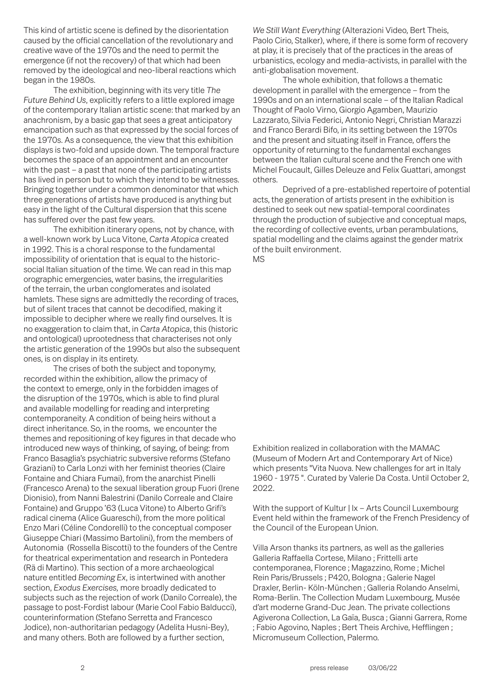This kind of artistic scene is defined by the disorientation caused by the official cancellation of the revolutionary and creative wave of the 1970s and the need to permit the emergence (if not the recovery) of that which had been removed by the ideological and neo-liberal reactions which began in the 1980s.

The exhibition, beginning with its very title *The Future Behind Us*, explicitly refers to a little explored image of the contemporary Italian artistic scene: that marked by an anachronism, by a basic gap that sees a great anticipatory emancipation such as that expressed by the social forces of the 1970s. As a consequence, the view that this exhibition displays is two-fold and upside down. The temporal fracture becomes the space of an appointment and an encounter with the past – a past that none of the participating artists has lived in person but to which they intend to be witnesses. Bringing together under a common denominator that which three generations of artists have produced is anything but easy in the light of the Cultural dispersion that this scene has suffered over the past few years.

The exhibition itinerary opens, not by chance, with a well-known work by Luca Vitone, *Carta Atopica* created in 1992. This is a choral response to the fundamental impossibility of orientation that is equal to the historicsocial Italian situation of the time. We can read in this map orographic emergencies, water basins, the irregularities of the terrain, the urban conglomerates and isolated hamlets. These signs are admittedly the recording of traces, but of silent traces that cannot be decodified, making it impossible to decipher where we really find ourselves. It is no exaggeration to claim that, in *Carta Atopica*, this (historic and ontological) uprootedness that characterises not only the artistic generation of the 1990s but also the subsequent ones, is on display in its entirety.

The crises of both the subject and toponymy, recorded within the exhibition, allow the primacy of the context to emerge, only in the forbidden images of the disruption of the 1970s, which is able to find plural and available modelling for reading and interpreting contemporaneity. A condition of being heirs without a direct inheritance. So, in the rooms, we encounter the themes and repositioning of key figures in that decade who introduced new ways of thinking, of saying, of being: from Franco Basaglia's psychiatric subversive reforms (Stefano Graziani) to Carla Lonzi with her feminist theories (Claire Fontaine and Chiara Fumai), from the anarchist Pinelli (Francesco Arena) to the sexual liberation group Fuori (Irene Dionisio), from Nanni Balestrini (Danilo Correale and Claire Fontaine) and Gruppo '63 (Luca Vitone) to Alberto Grifi's radical cinema (Alice Guareschi), from the more political Enzo Mari (Céline Condorelli) to the conceptual composer Giuseppe Chiari (Massimo Bartolini), from the members of Autonomia (Rossella Biscotti) to the founders of the Centre for theatrical experimentation and research in Pontedera (Rä di Martino). This section of a more archaeological nature entitled *Becoming Ex*, is intertwined with another section, *Exodus Exercises,* more broadly dedicated to subjects such as the rejection of work (Danilo Correale), the passage to post-Fordist labour (Marie Cool Fabio Balducci), counterinformation (Stefano Serretta and Francesco Jodice), non-authoritarian pedagogy (Adelita Husni-Bey), and many others. Both are followed by a further section,

*We Still Want Everything* (Alterazioni Video, Bert Theis, Paolo Cirio, Stalker), where, if there is some form of recovery at play, it is precisely that of the practices in the areas of urbanistics, ecology and media-activists, in parallel with the anti-globalisation movement.

The whole exhibition, that follows a thematic development in parallel with the emergence – from the 1990s and on an international scale – of the Italian Radical Thought of Paolo Virno, Giorgio Agamben, Maurizio Lazzarato, Silvia Federici, Antonio Negri, Christian Marazzi and Franco Berardi Bifo, in its setting between the 1970s and the present and situating itself in France, offers the opportunity of returning to the fundamental exchanges between the Italian cultural scene and the French one with Michel Foucault, Gilles Deleuze and Felix Guattari, amongst others.

Deprived of a pre-established repertoire of potential acts, the generation of artists present in the exhibition is destined to seek out new spatial-temporal coordinates through the production of subjective and conceptual maps, the recording of collective events, urban perambulations, spatial modelling and the claims against the gender matrix of the built environment. MS

Exhibition realized in collaboration with the MAMAC (Museum of Modern Art and Contemporary Art of Nice) which presents "Vita Nuova. New challenges for art in Italy 1960 - 1975 ". Curated by Valerie Da Costa. Until October 2, 2022.

With the support of Kultur | Ix - Arts Council Luxembourg Event held within the framework of the French Presidency of the Council of the European Union.

Villa Arson thanks its partners, as well as the galleries Galleria Raffaella Cortese, Milano ; Frittelli arte contemporanea, Florence ; Magazzino, Rome ; Michel Rein Paris/Brussels ; P420, Bologna ; Galerie Nagel Draxler, Berlin- Köln-München ; Galleria Rolando Anselmi, Roma-Berlin. The Collection Mudam Luxembourg, Musée d'art moderne Grand-Duc Jean. The private collections Agiverona Collection, La Gaïa, Busca ; Gianni Garrera, Rome ; Fabio Agovino, Naples ; Bert Theis Archive, Hefflingen ; Micromuseum Collection, Palermo.